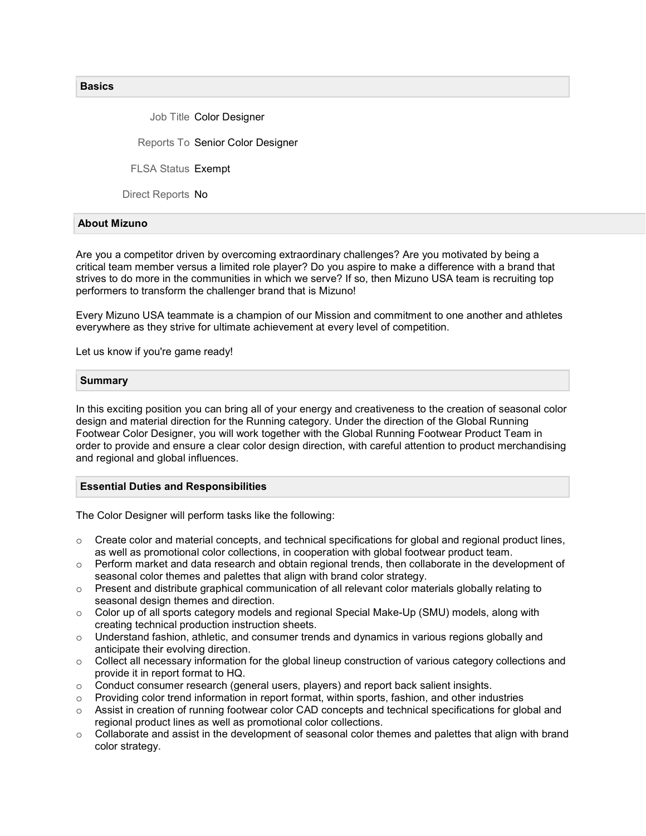**Basics** 

Job Title Color Designer

Reports To Senior Color Designer

FLSA Status Exempt

Direct Reports No

### About Mizuno

Are you a competitor driven by overcoming extraordinary challenges? Are you motivated by being a critical team member versus a limited role player? Do you aspire to make a difference with a brand that strives to do more in the communities in which we serve? If so, then Mizuno USA team is recruiting top performers to transform the challenger brand that is Mizuno!

Every Mizuno USA teammate is a champion of our Mission and commitment to one another and athletes everywhere as they strive for ultimate achievement at every level of competition.

Let us know if you're game ready!

#### Summary

In this exciting position you can bring all of your energy and creativeness to the creation of seasonal color design and material direction for the Running category. Under the direction of the Global Running Footwear Color Designer, you will work together with the Global Running Footwear Product Team in order to provide and ensure a clear color design direction, with careful attention to product merchandising and regional and global influences.

### Essential Duties and Responsibilities

The Color Designer will perform tasks like the following:

- $\circ$  Create color and material concepts, and technical specifications for global and regional product lines, as well as promotional color collections, in cooperation with global footwear product team.
- $\circ$  Perform market and data research and obtain regional trends, then collaborate in the development of seasonal color themes and palettes that align with brand color strategy.
- o Present and distribute graphical communication of all relevant color materials globally relating to seasonal design themes and direction.
- $\circ$  Color up of all sports category models and regional Special Make-Up (SMU) models, along with creating technical production instruction sheets.
- $\circ$  Understand fashion, athletic, and consumer trends and dynamics in various regions globally and anticipate their evolving direction.
- o Collect all necessary information for the global lineup construction of various category collections and provide it in report format to HQ.
- $\circ$  Conduct consumer research (general users, players) and report back salient insights.
- $\circ$  Providing color trend information in report format, within sports, fashion, and other industries
- Assist in creation of running footwear color CAD concepts and technical specifications for global and regional product lines as well as promotional color collections.
- $\circ$  Collaborate and assist in the development of seasonal color themes and palettes that align with brand color strategy.